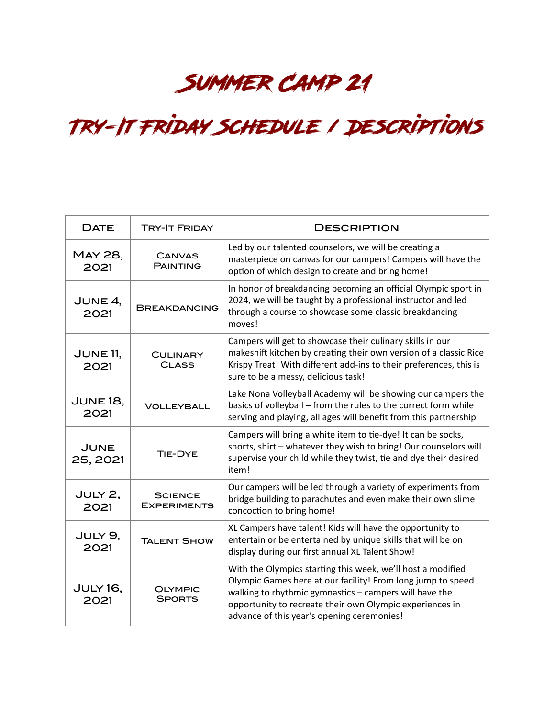## Summer Camp 21

## Try-It Friday Schedule / Descriptions

| <b>DATE</b>             | <b>TRY-IT FRIDAY</b>                 | <b>DESCRIPTION</b>                                                                                                                                                                                                                                                                             |
|-------------------------|--------------------------------------|------------------------------------------------------------------------------------------------------------------------------------------------------------------------------------------------------------------------------------------------------------------------------------------------|
| <b>MAY 28,</b><br>2021  | <b>CANVAS</b><br><b>PAINTING</b>     | Led by our talented counselors, we will be creating a<br>masterpiece on canvas for our campers! Campers will have the<br>option of which design to create and bring home!                                                                                                                      |
| JUNE 4,<br>2021         | <b>BREAKDANCING</b>                  | In honor of breakdancing becoming an official Olympic sport in<br>2024, we will be taught by a professional instructor and led<br>through a course to showcase some classic breakdancing<br>moves!                                                                                             |
| <b>JUNE 11,</b><br>2021 | <b>CULINARY</b><br><b>CLASS</b>      | Campers will get to showcase their culinary skills in our<br>makeshift kitchen by creating their own version of a classic Rice<br>Krispy Treat! With different add-ins to their preferences, this is<br>sure to be a messy, delicious task!                                                    |
| <b>JUNE 18,</b><br>2021 | <b>VOLLEYBALL</b>                    | Lake Nona Volleyball Academy will be showing our campers the<br>basics of volleyball - from the rules to the correct form while<br>serving and playing, all ages will benefit from this partnership                                                                                            |
| JUNE<br>25, 2021        | TIE-DYE                              | Campers will bring a white item to tie-dye! It can be socks,<br>shorts, shirt - whatever they wish to bring! Our counselors will<br>supervise your child while they twist, tie and dye their desired<br>item!                                                                                  |
| JULY 2,<br>2021         | <b>SCIENCE</b><br><b>EXPERIMENTS</b> | Our campers will be led through a variety of experiments from<br>bridge building to parachutes and even make their own slime<br>concoction to bring home!                                                                                                                                      |
| JULY 9,<br>2021         | <b>TALENT SHOW</b>                   | XL Campers have talent! Kids will have the opportunity to<br>entertain or be entertained by unique skills that will be on<br>display during our first annual XL Talent Show!                                                                                                                   |
| <b>JULY 16,</b><br>2021 | OLYMPIC<br><b>SPORTS</b>             | With the Olympics starting this week, we'll host a modified<br>Olympic Games here at our facility! From long jump to speed<br>walking to rhythmic gymnastics - campers will have the<br>opportunity to recreate their own Olympic experiences in<br>advance of this year's opening ceremonies! |